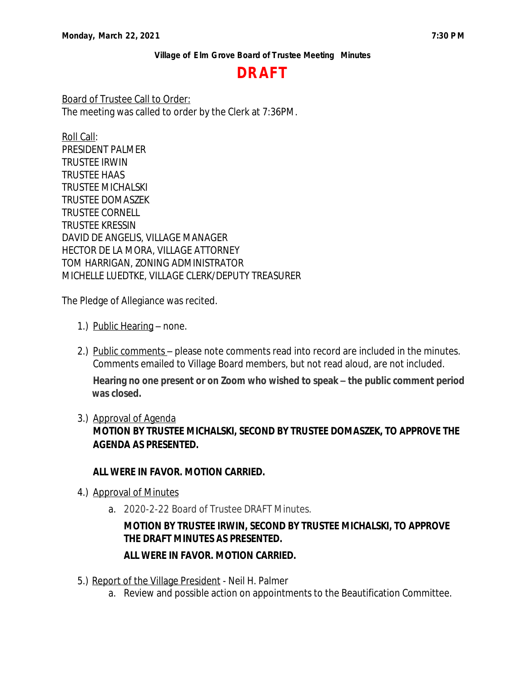# **DRAFT**

Board of Trustee Call to Order: The meeting was called to order by the Clerk at 7:36PM.

Roll Call: PRESIDENT PALMER TRUSTEE IRWIN TRUSTEE HAAS TRUSTEE MICHALSKI TRUSTEE DOMASZEK TRUSTEE CORNELL TRUSTEE KRESSIN DAVID DE ANGELIS, VILLAGE MANAGER HECTOR DE LA MORA, VILLAGE ATTORNEY TOM HARRIGAN, ZONING ADMINISTRATOR MICHELLE LUEDTKE, VILLAGE CLERK/DEPUTY TREASURER

The Pledge of Allegiance was recited.

- 1.) Public Hearing none.
- 2.) Public comments please note comments read into record are included in the minutes. Comments emailed to Village Board members, but not read aloud, are not included.

**Hearing no one present or on Zoom who wished to speak – the public comment period was closed.**

3.) Approval of Agenda

**MOTION BY TRUSTEE MICHALSKI, SECOND BY TRUSTEE DOMASZEK, TO APPROVE THE AGENDA AS PRESENTED.**

### **ALL WERE IN FAVOR. MOTION CARRIED.**

- 4.) Approval of Minutes
	- a. 2020-2-22 Board of Trustee DRAFT Minutes.

# **MOTION BY TRUSTEE IRWIN, SECOND BY TRUSTEE MICHALSKI, TO APPROVE THE DRAFT MINUTES AS PRESENTED.**

## **ALL WERE IN FAVOR. MOTION CARRIED.**

- 5.) Report of the Village President Neil H. Palmer
	- a. Review and possible action on appointments to the Beautification Committee.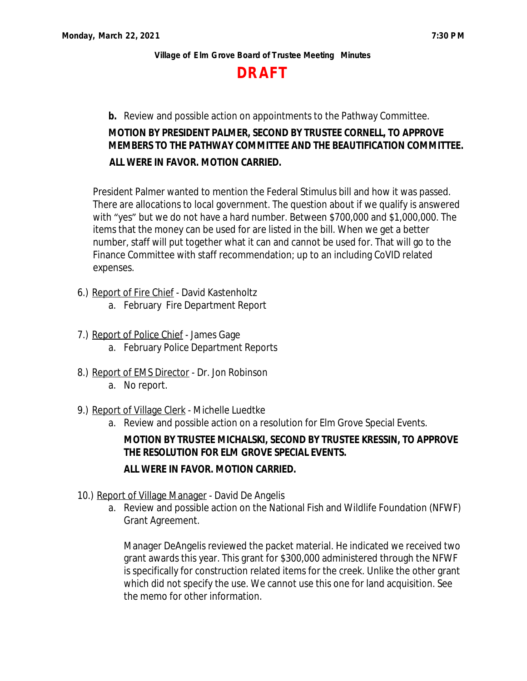

**b.** Review and possible action on appointments to the Pathway Committee.

# **MOTION BY PRESIDENT PALMER, SECOND BY TRUSTEE CORNELL, TO APPROVE MEMBERS TO THE PATHWAY COMMITTEE AND THE BEAUTIFICATION COMMITTEE. ALL WERE IN FAVOR. MOTION CARRIED.**

President Palmer wanted to mention the Federal Stimulus bill and how it was passed. There are allocations to local government. The question about if we qualify is answered with "yes" but we do not have a hard number. Between \$700,000 and \$1,000,000. The items that the money can be used for are listed in the bill. When we get a better number, staff will put together what it can and cannot be used for. That will go to the Finance Committee with staff recommendation; up to an including CoVID related expenses.

- 6.) Report of Fire Chief David Kastenholtz
	- a. February Fire Department Report
- 7.) Report of Police Chief James Gage
	- a. February Police Department Reports
- 8.) Report of EMS Director Dr. Jon Robinson
	- a. No report.
- 9.) Report of Village Clerk Michelle Luedtke
	- a. Review and possible action on a resolution for Elm Grove Special Events.

# **MOTION BY TRUSTEE MICHALSKI, SECOND BY TRUSTEE KRESSIN, TO APPROVE THE RESOLUTION FOR ELM GROVE SPECIAL EVENTS.**

### **ALL WERE IN FAVOR. MOTION CARRIED.**

- 10.) Report of Village Manager David De Angelis
	- a. Review and possible action on the National Fish and Wildlife Foundation (NFWF) Grant Agreement.

Manager DeAngelis reviewed the packet material. He indicated we received two grant awards this year. This grant for \$300,000 administered through the NFWF is specifically for construction related items for the creek. Unlike the other grant which did not specify the use. We cannot use this one for land acquisition. See the memo for other information.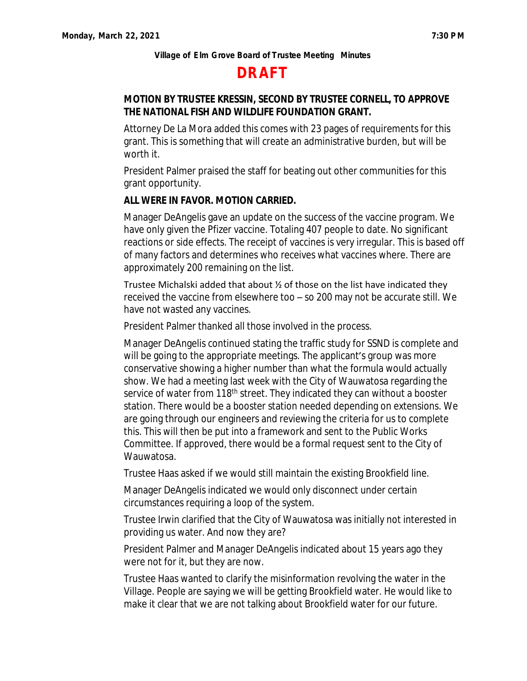# **DRAFT**

# **MOTION BY TRUSTEE KRESSIN, SECOND BY TRUSTEE CORNELL, TO APPROVE THE NATIONAL FISH AND WILDLIFE FOUNDATION GRANT.**

Attorney De La Mora added this comes with 23 pages of requirements for this grant. This is something that will create an administrative burden, but will be worth it.

President Palmer praised the staff for beating out other communities for this grant opportunity.

### **ALL WERE IN FAVOR. MOTION CARRIED.**

Manager DeAngelis gave an update on the success of the vaccine program. We have only given the Pfizer vaccine. Totaling 407 people to date. No significant reactions or side effects. The receipt of vaccines is very irregular. This is based off of many factors and determines who receives what vaccines where. There are approximately 200 remaining on the list.

Trustee Michalski added that about ½ of those on the list have indicated they received the vaccine from elsewhere too – so 200 may not be accurate still. We have not wasted any vaccines.

President Palmer thanked all those involved in the process.

Manager DeAngelis continued stating the traffic study for SSND is complete and will be going to the appropriate meetings. The applicant's group was more conservative showing a higher number than what the formula would actually show. We had a meeting last week with the City of Wauwatosa regarding the service of water from 118<sup>th</sup> street. They indicated they can without a booster station. There would be a booster station needed depending on extensions. We are going through our engineers and reviewing the criteria for us to complete this. This will then be put into a framework and sent to the Public Works Committee. If approved, there would be a formal request sent to the City of Wauwatosa.

Trustee Haas asked if we would still maintain the existing Brookfield line.

Manager DeAngelis indicated we would only disconnect under certain circumstances requiring a loop of the system.

Trustee Irwin clarified that the City of Wauwatosa was initially not interested in providing us water. And now they are?

President Palmer and Manager DeAngelis indicated about 15 years ago they were not for it, but they are now.

Trustee Haas wanted to clarify the misinformation revolving the water in the Village. People are saying we will be getting Brookfield water. He would like to make it clear that we are not talking about Brookfield water for our future.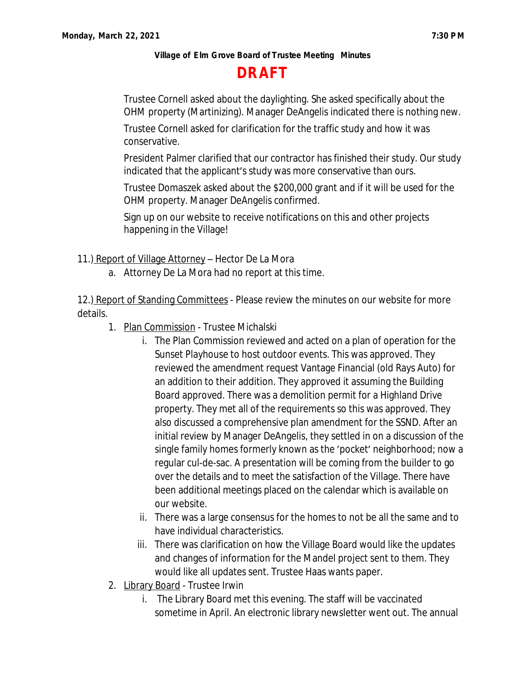# **DRAFT**

Trustee Cornell asked about the daylighting. She asked specifically about the OHM property (Martinizing). Manager DeAngelis indicated there is nothing new.

Trustee Cornell asked for clarification for the traffic study and how it was conservative.

President Palmer clarified that our contractor has finished their study. Our study indicated that the applicant's study was more conservative than ours.

Trustee Domaszek asked about the \$200,000 grant and if it will be used for the OHM property. Manager DeAngelis confirmed.

Sign up on our website to receive notifications on this and other projects happening in the Village!

11.) Report of Village Attorney – Hector De La Mora

a. Attorney De La Mora had no report at this time.

12.) Report of Standing Committees - Please review the minutes on our website for more details.

- 1. Plan Commission Trustee Michalski
	- i. The Plan Commission reviewed and acted on a plan of operation for the Sunset Playhouse to host outdoor events. This was approved. They reviewed the amendment request Vantage Financial (old Rays Auto) for an addition to their addition. They approved it assuming the Building Board approved. There was a demolition permit for a Highland Drive property. They met all of the requirements so this was approved. They also discussed a comprehensive plan amendment for the SSND. After an initial review by Manager DeAngelis, they settled in on a discussion of the single family homes formerly known as the 'pocket' neighborhood; now a regular cul-de-sac. A presentation will be coming from the builder to go over the details and to meet the satisfaction of the Village. There have been additional meetings placed on the calendar which is available on our website.
	- ii. There was a large consensus for the homes to not be all the same and to have individual characteristics.
	- iii. There was clarification on how the Village Board would like the updates and changes of information for the Mandel project sent to them. They would like all updates sent. Trustee Haas wants paper.
- 2. Library Board Trustee Irwin
	- i. The Library Board met this evening. The staff will be vaccinated sometime in April. An electronic library newsletter went out. The annual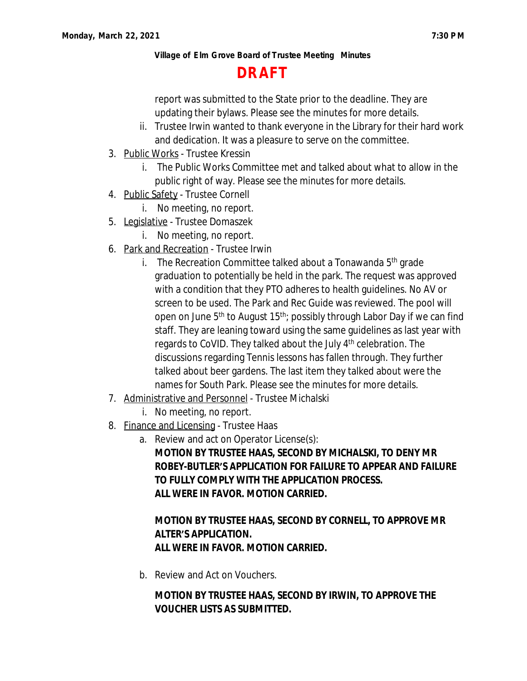# **DRAFT**

report was submitted to the State prior to the deadline. They are updating their bylaws. Please see the minutes for more details.

- ii. Trustee Irwin wanted to thank everyone in the Library for their hard work and dedication. It was a pleasure to serve on the committee.
- 3. Public Works Trustee Kressin
	- i. The Public Works Committee met and talked about what to allow in the public right of way. Please see the minutes for more details.
- 4. Public Safety Trustee Cornell
	- i. No meeting, no report.
- 5. Legislative Trustee Domaszek
	- i. No meeting, no report.
- 6. Park and Recreation Trustee Irwin
	- i. The Recreation Committee talked about a Tonawanda  $5<sup>th</sup>$  grade graduation to potentially be held in the park. The request was approved with a condition that they PTO adheres to health guidelines. No AV or screen to be used. The Park and Rec Guide was reviewed. The pool will open on June  $5<sup>th</sup>$  to August 15<sup>th</sup>; possibly through Labor Day if we can find staff. They are leaning toward using the same guidelines as last year with regards to CoVID. They talked about the July 4<sup>th</sup> celebration. The discussions regarding Tennis lessons has fallen through. They further talked about beer gardens. The last item they talked about were the names for South Park. Please see the minutes for more details.
- 7. Administrative and Personnel Trustee Michalski
	- i. No meeting, no report.
- 8. Finance and Licensing Trustee Haas
	- a. Review and act on Operator License(s):

**MOTION BY TRUSTEE HAAS, SECOND BY MICHALSKI, TO DENY MR ROBEY-BUTLER'S APPLICATION FOR FAILURE TO APPEAR AND FAILURE TO FULLY COMPLY WITH THE APPLICATION PROCESS. ALL WERE IN FAVOR. MOTION CARRIED.**

# **MOTION BY TRUSTEE HAAS, SECOND BY CORNELL, TO APPROVE MR ALTER'S APPLICATION. ALL WERE IN FAVOR. MOTION CARRIED.**

b. Review and Act on Vouchers.

# **MOTION BY TRUSTEE HAAS, SECOND BY IRWIN, TO APPROVE THE VOUCHER LISTS AS SUBMITTED.**